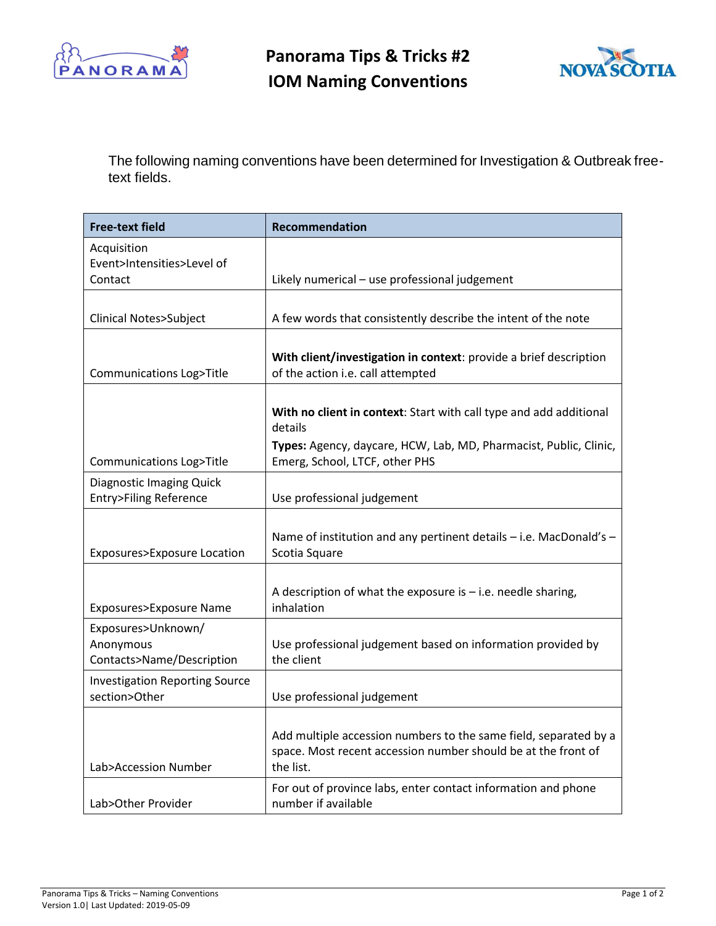



The following naming conventions have been determined for Investigation & Outbreak freetext fields.

| <b>Free-text field</b>                                              | Recommendation                                                                                                                                 |
|---------------------------------------------------------------------|------------------------------------------------------------------------------------------------------------------------------------------------|
| Acquisition<br>Event>Intensities>Level of                           |                                                                                                                                                |
| Contact                                                             | Likely numerical - use professional judgement                                                                                                  |
|                                                                     |                                                                                                                                                |
| <b>Clinical Notes&gt;Subject</b>                                    | A few words that consistently describe the intent of the note                                                                                  |
| <b>Communications Log&gt;Title</b>                                  | With client/investigation in context: provide a brief description<br>of the action i.e. call attempted                                         |
|                                                                     | With no client in context: Start with call type and add additional<br>details                                                                  |
| <b>Communications Log&gt;Title</b>                                  | Types: Agency, daycare, HCW, Lab, MD, Pharmacist, Public, Clinic,<br>Emerg, School, LTCF, other PHS                                            |
| <b>Diagnostic Imaging Quick</b><br><b>Entry&gt;Filing Reference</b> | Use professional judgement                                                                                                                     |
| Exposures>Exposure Location                                         | Name of institution and any pertinent details - i.e. MacDonald's -<br>Scotia Square                                                            |
| Exposures>Exposure Name                                             | A description of what the exposure is $-$ i.e. needle sharing,<br>inhalation                                                                   |
| Exposures>Unknown/<br>Anonymous<br>Contacts>Name/Description        | Use professional judgement based on information provided by<br>the client                                                                      |
| <b>Investigation Reporting Source</b><br>section>Other              | Use professional judgement                                                                                                                     |
| Lab>Accession Number                                                | Add multiple accession numbers to the same field, separated by a<br>space. Most recent accession number should be at the front of<br>the list. |
| Lab>Other Provider                                                  | For out of province labs, enter contact information and phone<br>number if available                                                           |